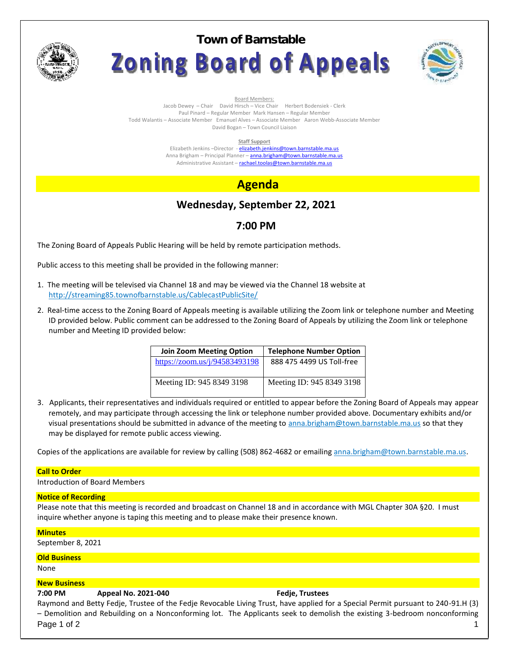

**Town of BarnstableZoning Board of Appeals** 



Board Members:

Jacob Dewey – Chair David Hirsch – Vice Chair Herbert Bodensiek - Clerk Paul Pinard – Regular Member Mark Hansen – Regular Member Todd Walantis – Associate Member Emanuel Alves – Associate Member Aaron Webb-Associate Member David Bogan – Town Council Liaison

**Staff Support**

Elizabeth Jenkins -Director - elizabeth.jenkins@town.barnstable.ma.us Anna Brigham – Principal Planner – **anna.brigham@town.barnstable.ma.us** Administrative Assistant - rachael.toolas@town.barnstable.ma.us

# **Agenda**

# **Wednesday, September 22, 2021**

## **7:00 PM**

The Zoning Board of Appeals Public Hearing will be held by remote participation methods.

Public access to this meeting shall be provided in the following manner:

- 1. The meeting will be televised via Channel 18 and may be viewed via the Channel 18 website at http://streaming85.townofbarnstable.us/CablecastPublicSite/
- 2. Real-time access to the Zoning Board of Appeals meeting is available utilizing the Zoom link or telephone number and Meeting ID provided below. Public comment can be addressed to the Zoning Board of Appeals by utilizing the Zoom link or telephone number and Meeting ID provided below:

| <b>Join Zoom Meeting Option</b> | <b>Telephone Number Option</b> |
|---------------------------------|--------------------------------|
| https://zoom.us/j/94583493198   | 888 475 4499 US Toll-free      |
|                                 |                                |
| Meeting ID: 945 8349 3198       | Meeting ID: 945 8349 3198      |
|                                 |                                |

3. Applicants, their representatives and individuals required or entitled to appear before the Zoning Board of Appeals may appear remotely, and may participate through accessing the link or telephone number provided above. Documentary exhibits and/or visual presentations should be submitted in advance of the meeting to anna.brigham@town.barnstable.ma.us so that they may be displayed for remote public access viewing.

Copies of the applications are available for review by calling (508) 862-4682 or emailing anna.brigham@town.barnstable.ma.us.

### **Call to Order**

Introduction of Board Members

### **Notice of Recording**

Please note that this meeting is recorded and broadcast on Channel 18 and in accordance with MGL Chapter 30A §20. I must inquire whether anyone is taping this meeting and to please make their presence known.

**Minutes**

September 8, 2021

### **Old Business**

None

### **New Business**

### **7:00 PM Appeal No. 2021-040 Fedje, Trustees**

Page 1 of 2  $\qquad \qquad \qquad$  1  $\qquad \qquad$ Raymond and Betty Fedje, Trustee of the Fedje Revocable Living Trust, have applied for a Special Permit pursuant to 240-91.H (3) – Demolition and Rebuilding on a Nonconforming lot. The Applicants seek to demolish the existing 3-bedroom nonconforming